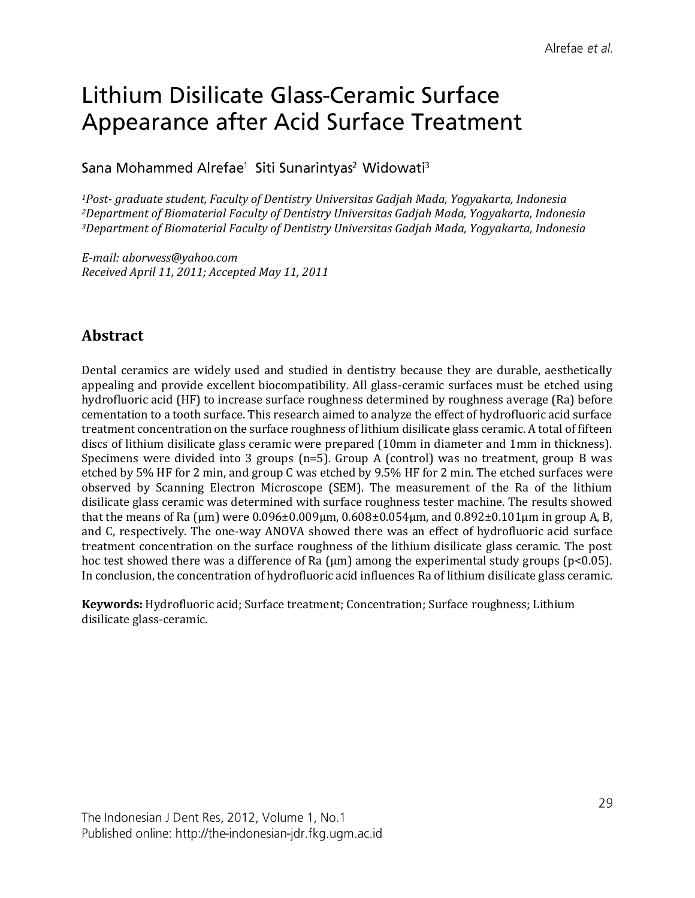# Lithium Disilicate Glass-Ceramic Surface Appearance after Acid Surface Treatment

Sana Mohammed Alrefae<sup>1</sup> Siti Sunarintyas<sup>2</sup> Widowati<sup>3</sup>

*<sup>1</sup>Post- graduate student, Faculty of Dentistry Universitas Gadjah Mada, Yogyakarta, Indonesia <sup>2</sup>Department of Biomaterial Faculty of Dentistry Universitas Gadjah Mada, Yogyakarta, Indonesia <sup>3</sup>Department of Biomaterial Faculty of Dentistry Universitas Gadjah Mada, Yogyakarta, Indonesia*

*E-mail: aborwess@yahoo.com Received April 11, 2011; Accepted May 11, 2011*

# **Abstract**

Dental ceramics are widely used and studied in dentistry because they are durable, aesthetically appealing and provide excellent biocompatibility. All glass-ceramic surfaces must be etched using hydrofluoric acid (HF) to increase surface roughness determined by roughness average (Ra) before cementation to a tooth surface. This research aimed to analyze the effect of hydrofluoric acid surface treatment concentration on the surface roughness of lithium disilicate glass ceramic. A total of fifteen discs of lithium disilicate glass ceramic were prepared (10mm in diameter and 1mm in thickness). Specimens were divided into 3 groups (n=5). Group A (control) was no treatment, group B was etched by 5% HF for 2 min, and group C was etched by 9.5% HF for 2 min. The etched surfaces were observed by Scanning Electron Microscope (SEM). The measurement of the Ra of the lithium disilicate glass ceramic was determined with surface roughness tester machine. The results showed that the means of Ra ( $\mu$ m) were 0.096±0.009 $\mu$ m, 0.608±0.054 $\mu$ m, and 0.892±0.101 $\mu$ m in group A, B, and C, respectively. The one-way ANOVA showed there was an effect of hydrofluoric acid surface treatment concentration on the surface roughness of the lithium disilicate glass ceramic. The post hoc test showed there was a difference of Ra (μm) among the experimental study groups (p<0.05). In conclusion, the concentration of hydrofluoric acid influences Ra of lithium disilicate glass ceramic.

**Keywords:** Hydrofluoric acid; Surface treatment; Concentration; Surface roughness; Lithium disilicate glass-ceramic.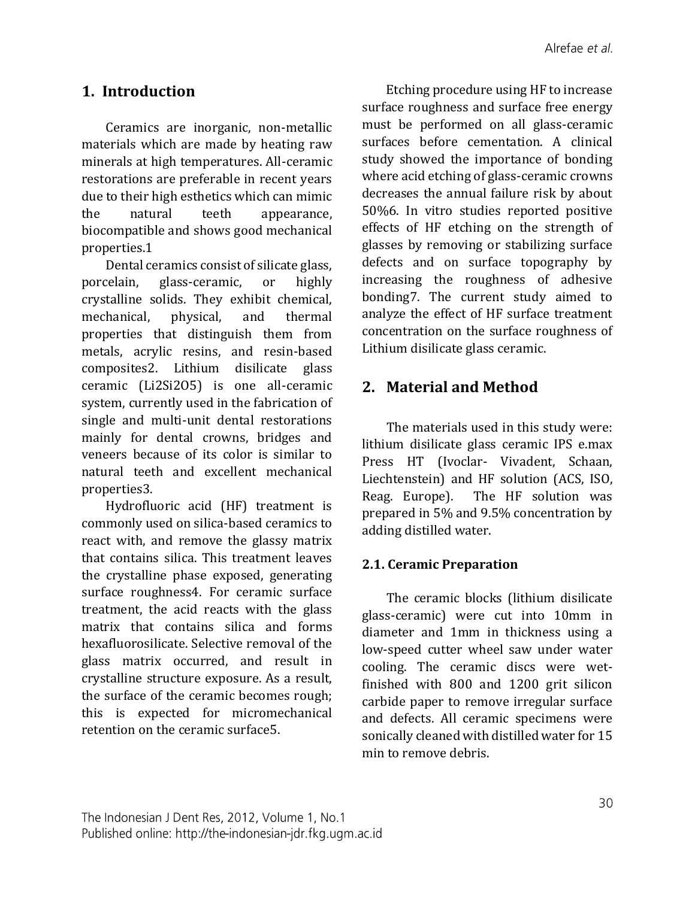## **1. Introduction**

Ceramics are inorganic, non-metallic materials which are made by heating raw minerals at high temperatures. All-ceramic restorations are preferable in recent years due to their high esthetics which can mimic the natural teeth appearance, biocompatible and shows good mechanical properties.1

Dental ceramics consist of silicate glass, porcelain, glass-ceramic, or highly crystalline solids. They exhibit chemical, mechanical, physical, and thermal properties that distinguish them from metals, acrylic resins, and resin-based composites2. Lithium disilicate glass ceramic (Li2Si2O5) is one all-ceramic system, currently used in the fabrication of single and multi-unit dental restorations mainly for dental crowns, bridges and veneers because of its color is similar to natural teeth and excellent mechanical properties3.

Hydrofluoric acid (HF) treatment is commonly used on silica-based ceramics to react with, and remove the glassy matrix that contains silica. This treatment leaves the crystalline phase exposed, generating surface roughness4. For ceramic surface treatment, the acid reacts with the glass matrix that contains silica and forms hexafluorosilicate. Selective removal of the glass matrix occurred, and result in crystalline structure exposure. As a result, the surface of the ceramic becomes rough; this is expected for micromechanical retention on the ceramic surface5.

Etching procedure using HF to increase surface roughness and surface free energy must be performed on all glass-ceramic surfaces before cementation. A clinical study showed the importance of bonding where acid etching of glass-ceramic crowns decreases the annual failure risk by about 50%6. In vitro studies reported positive effects of HF etching on the strength of glasses by removing or stabilizing surface defects and on surface topography by increasing the roughness of adhesive bonding7. The current study aimed to analyze the effect of HF surface treatment concentration on the surface roughness of Lithium disilicate glass ceramic.

## **2. Material and Method**

The materials used in this study were: lithium disilicate glass ceramic IPS e.max Press HT (Ivoclar- Vivadent, Schaan, Liechtenstein) and HF solution (ACS, ISO, Reag. Europe). The HF solution was prepared in 5% and 9.5% concentration by adding distilled water.

## **2.1. Ceramic Preparation**

The ceramic blocks (lithium disilicate glass-ceramic) were cut into 10mm in diameter and 1mm in thickness using a low-speed cutter wheel saw under water cooling. The ceramic discs were wetfinished with 800 and 1200 grit silicon carbide paper to remove irregular surface and defects. All ceramic specimens were sonically cleaned with distilled water for 15 min to remove debris.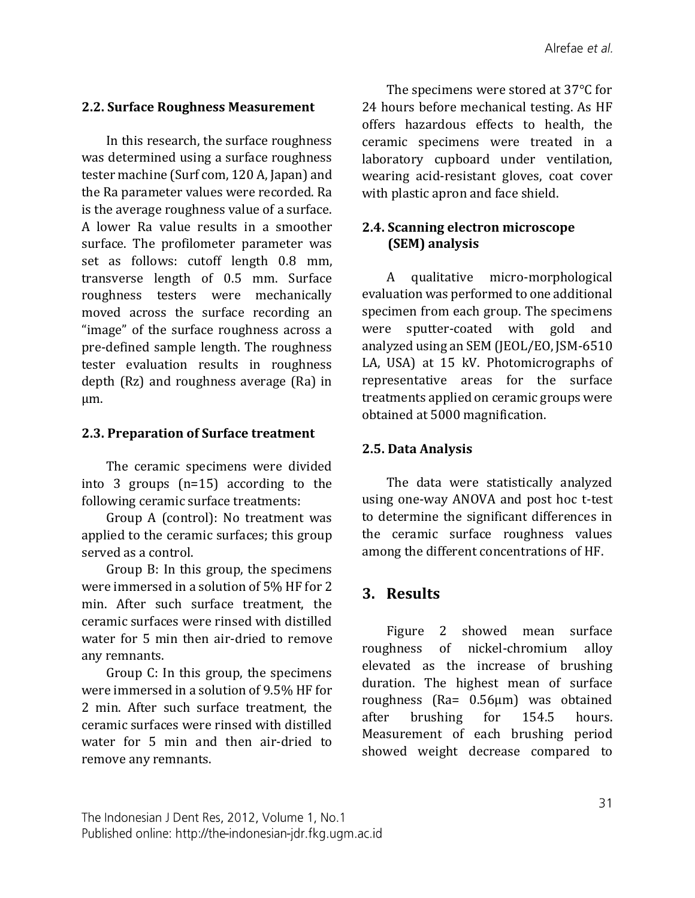## **2.2. Surface Roughness Measurement**

In this research, the surface roughness was determined using a surface roughness tester machine (Surf com, 120 A, Japan) and the Ra parameter values were recorded. Ra is the average roughness value of a surface. A lower Ra value results in a smoother surface. The profilometer parameter was set as follows: cutoff length 0.8 mm, transverse length of 0.5 mm. Surface roughness testers were mechanically moved across the surface recording an "image" of the surface roughness across a pre-defined sample length. The roughness tester evaluation results in roughness depth (Rz) and roughness average (Ra) in µm.

#### **2.3. Preparation of Surface treatment**

The ceramic specimens were divided into 3 groups (n=15) according to the following ceramic surface treatments:

Group A (control): No treatment was applied to the ceramic surfaces; this group served as a control.

Group B: In this group, the specimens were immersed in a solution of 5% HF for 2 min. After such surface treatment, the ceramic surfaces were rinsed with distilled water for 5 min then air-dried to remove any remnants.

Group C: In this group, the specimens were immersed in a solution of 9.5% HF for 2 min. After such surface treatment, the ceramic surfaces were rinsed with distilled water for 5 min and then air-dried to remove any remnants.

The specimens were stored at 37°C for 24 hours before mechanical testing. As HF offers hazardous effects to health, the ceramic specimens were treated in a laboratory cupboard under ventilation, wearing acid-resistant gloves, coat cover with plastic apron and face shield.

## **2.4. Scanning electron microscope (SEM) analysis**

A qualitative micro-morphological evaluation was performed to one additional specimen from each group. The specimens were sputter-coated with gold and analyzed using an SEM (JEOL/EO, JSM-6510 LA, USA) at 15 kV. Photomicrographs of representative areas for the surface treatments applied on ceramic groups were obtained at 5000 magnification.

### **2.5. Data Analysis**

The data were statistically analyzed using one-way ANOVA and post hoc t-test to determine the significant differences in the ceramic surface roughness values among the different concentrations of HF.

## **3. Results**

Figure 2 showed mean surface roughness of nickel-chromium alloy elevated as the increase of brushing duration. The highest mean of surface roughness (Ra= 0.56µm) was obtained after brushing for 154.5 hours. Measurement of each brushing period showed weight decrease compared to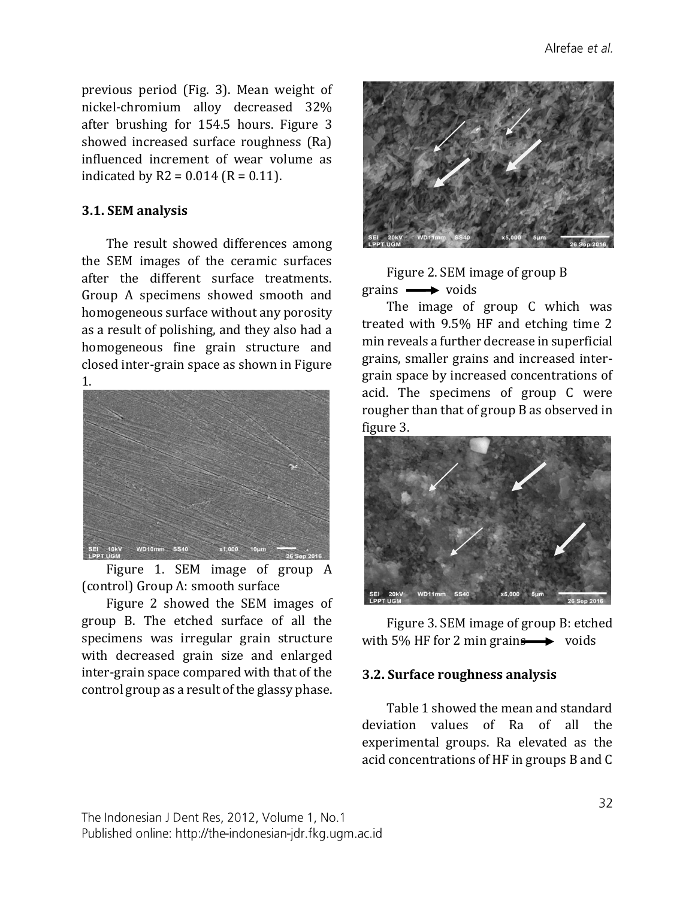previous period (Fig. 3). Mean weight of nickel-chromium alloy decreased 32% after brushing for 154.5 hours. Figure 3 showed increased surface roughness (Ra) influenced increment of wear volume as indicated by  $R2 = 0.014$  ( $R = 0.11$ ).

#### **3.1. SEM analysis**

The result showed differences among the SEM images of the ceramic surfaces after the different surface treatments. Group A specimens showed smooth and homogeneous surface without any porosity as a result of polishing, and they also had a homogeneous fine grain structure and closed inter-grain space as shown in Figure 1.



Figure 1. SEM image of group A (control) Group A: smooth surface

Figure 2 showed the SEM images of group B. The etched surface of all the specimens was irregular grain structure with decreased grain size and enlarged inter-grain space compared with that of the control group as a result of the glassy phase.



Figure 2. SEM image of group B  $grains \longrightarrow voids$ 

The image of group C which was treated with 9.5% HF and etching time 2 min reveals a further decrease in superficial grains, smaller grains and increased intergrain space by increased concentrations of acid. The specimens of group C were rougher than that of group B as observed in figure 3.



Figure 3. SEM image of group B: etched with 5% HF for 2 min grains  $\longrightarrow$  voids

#### **3.2. Surface roughness analysis**

Table 1 showed the mean and standard deviation values of Ra of all the experimental groups. Ra elevated as the acid concentrations of HF in groups B and C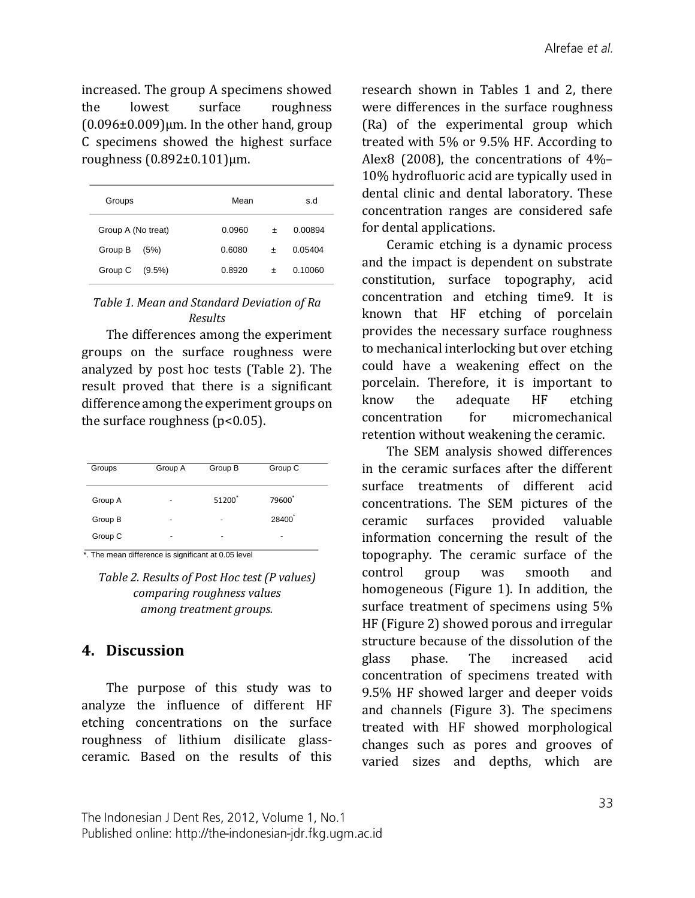increased. The group A specimens showed the lowest surface roughness  $(0.096\pm0.009)$ μm. In the other hand, group C specimens showed the highest surface roughness (0.892±0.101)μm.

| Groups             |           | Mean   |        | s.d     |
|--------------------|-----------|--------|--------|---------|
| Group A (No treat) |           | 0.0960 | $\div$ | 0.00894 |
| Group B            | (5%)      | 0.6080 | +      | 0.05404 |
| Group C            | $(9.5\%)$ | 0.8920 |        | 0.10060 |

#### *Table 1. Mean and Standard Deviation of Ra Results*

The differences among the experiment groups on the surface roughness were analyzed by post hoc tests (Table 2). The result proved that there is a significant difference among the experiment groups on the surface roughness  $(p<0.05)$ .

| Group A | Group B | Group C            |
|---------|---------|--------------------|
| ٠       | 51200   | 79600 <sup>*</sup> |
| ٠       | ٠       | 28400              |
| ٠       | ۰       | ۰                  |
|         |         |                    |

\*. The mean difference is significant at 0.05 level

*Table 2. Results of Post Hoc test (P values) comparing roughness values among treatment groups.*

# **4. Discussion**

The purpose of this study was to analyze the influence of different HF etching concentrations on the surface roughness of lithium disilicate glassceramic. Based on the results of this research shown in Tables 1 and 2, there were differences in the surface roughness (Ra) of the experimental group which treated with 5% or 9.5% HF. According to Alex8 (2008), the concentrations of 4%– 10% hydrofluoric acid are typically used in dental clinic and dental laboratory. These concentration ranges are considered safe for dental applications.

Ceramic etching is a dynamic process and the impact is dependent on substrate constitution, surface topography, acid concentration and etching time9. It is known that HF etching of porcelain provides the necessary surface roughness to mechanical interlocking but over etching could have a weakening effect on the porcelain. Therefore, it is important to know the adequate HF etching concentration for micromechanical retention without weakening the ceramic.

The SEM analysis showed differences in the ceramic surfaces after the different surface treatments of different acid concentrations. The SEM pictures of the ceramic surfaces provided valuable information concerning the result of the topography. The ceramic surface of the control group was smooth and homogeneous (Figure 1). In addition, the surface treatment of specimens using 5% HF (Figure 2) showed porous and irregular structure because of the dissolution of the glass phase. The increased acid concentration of specimens treated with 9.5% HF showed larger and deeper voids and channels (Figure 3). The specimens treated with HF showed morphological changes such as pores and grooves of varied sizes and depths, which are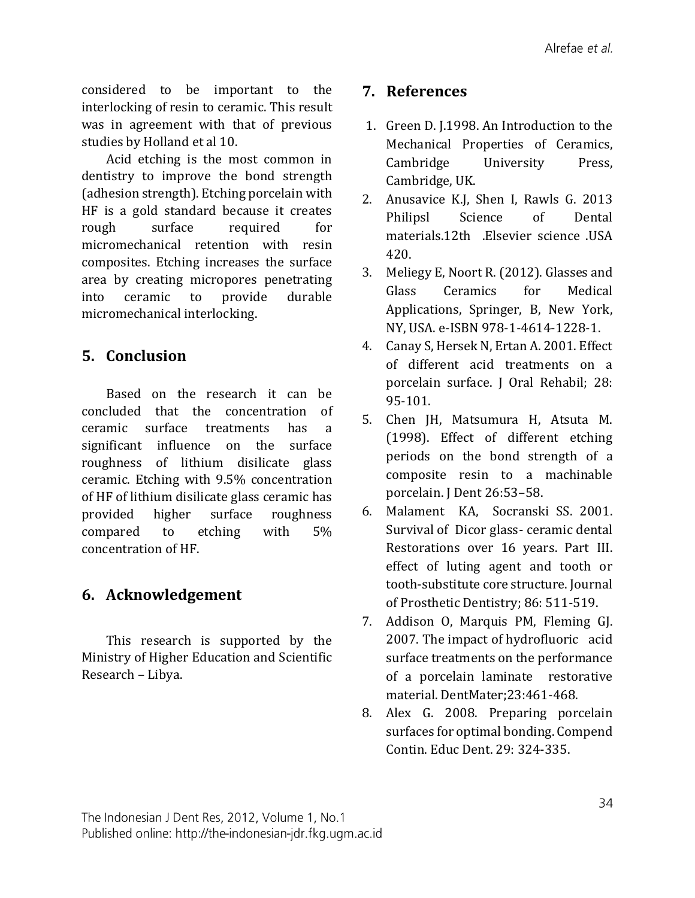considered to be important to the interlocking of resin to ceramic. This result was in agreement with that of previous studies by Holland et al 10.

Acid etching is the most common in dentistry to improve the bond strength (adhesion strength). Etching porcelain with HF is a gold standard because it creates rough surface required for micromechanical retention with resin composites. Etching increases the surface area by creating micropores penetrating into ceramic to provide durable micromechanical interlocking.

# **5. Conclusion**

Based on the research it can be concluded that the concentration of ceramic surface treatments has a significant influence on the surface roughness of lithium disilicate glass ceramic. Etching with 9.5% concentration of HF of lithium disilicate glass ceramic has provided higher surface roughness compared to etching with 5% concentration of HF.

# **6. Acknowledgement**

This research is supported by the Ministry of Higher Education and Scientific Research – Libya.

## **7. References**

- 1. Green D. J.1998. An Introduction to the Mechanical Properties of Ceramics, Cambridge University Press, Cambridge, UK.
- 2. Anusavice K.J, Shen I, Rawls G. 2013 Philipsl Science of Dental materials.12th .Elsevier science .USA 420.
- 3. Meliegy E, Noort R. (2012). Glasses and Glass Ceramics for Medical Applications, Springer, B, New York, NY, USA. e-ISBN 978-1-4614-1228-1.
- 4. Canay S, Hersek N, Ertan A. 2001. Effect of different acid treatments on a porcelain surface. J Oral Rehabil; 28: 95-101.
- 5. Chen JH, Matsumura H, Atsuta M. (1998). Effect of different etching periods on the bond strength of a composite resin to a machinable porcelain. J Dent 26:53–58.
- 6. Malament KA, Socranski SS. 2001. Survival of Dicor glass- ceramic dental Restorations over 16 years. Part III. effect of luting agent and tooth or tooth-substitute core structure. Journal of Prosthetic Dentistry; 86: 511-519.
- 7. Addison O, Marquis PM, Fleming GJ. 2007. The impact of hydrofluoric acid surface treatments on the performance of a porcelain laminate restorative material. DentMater;23:461-468.
- 8. Alex G. 2008. Preparing porcelain surfaces for optimal bonding. Compend Contin. Educ Dent. 29: 324-335.